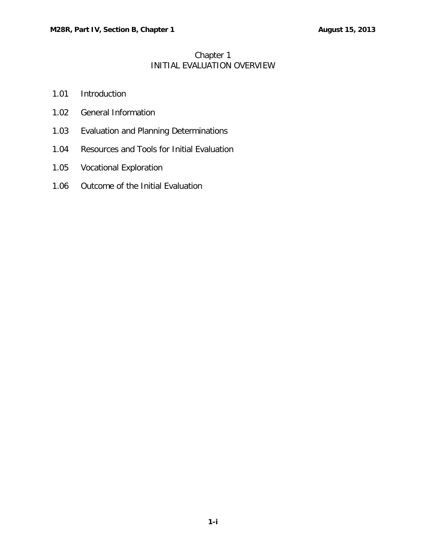# Chapter 1 INITIAL EVALUATION OVERVIEW

- 1.01 [Introduction](#page-1-0)
- 1.02 [General Information](#page-1-1)
- 1.03 [Evaluation and Planning Determinations](#page-1-2)
- 1.04 [Resources and Tools for Initial Evaluation](#page-1-3)
- 1.05 [Vocational Exploration](#page-2-0)
- 1.06 [Outcome of the Initial Evaluation](#page-2-1)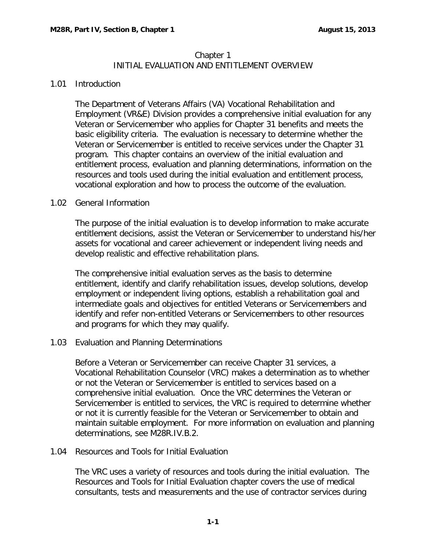## Chapter 1 INITIAL EVALUATION AND ENTITLEMENT OVERVIEW

### <span id="page-1-0"></span>1.01 Introduction

The Department of Veterans Affairs (VA) Vocational Rehabilitation and Employment (VR&E) Division provides a comprehensive initial evaluation for any Veteran or Servicemember who applies for Chapter 31 benefits and meets the basic eligibility criteria. The evaluation is necessary to determine whether the Veteran or Servicemember is entitled to receive services under the Chapter 31 program. This chapter contains an overview of the initial evaluation and entitlement process, evaluation and planning determinations, information on the resources and tools used during the initial evaluation and entitlement process, vocational exploration and how to process the outcome of the evaluation.

## <span id="page-1-1"></span>1.02 General Information

The purpose of the initial evaluation is to develop information to make accurate entitlement decisions, assist the Veteran or Servicemember to understand his/her assets for vocational and career achievement or independent living needs and develop realistic and effective rehabilitation plans.

The comprehensive initial evaluation serves as the basis to determine entitlement, identify and clarify rehabilitation issues, develop solutions, develop employment or independent living options, establish a rehabilitation goal and intermediate goals and objectives for entitled Veterans or Servicemembers and identify and refer non-entitled Veterans or Servicemembers to other resources and programs for which they may qualify.

#### <span id="page-1-2"></span>1.03 Evaluation and Planning Determinations

Before a Veteran or Servicemember can receive Chapter 31 services, a Vocational Rehabilitation Counselor (VRC) makes a determination as to whether or not the Veteran or Servicemember is entitled to services based on a comprehensive initial evaluation. Once the VRC determines the Veteran or Servicemember is entitled to services, the VRC is required to determine whether or not it is currently feasible for the Veteran or Servicemember to obtain and maintain suitable employment. For more information on evaluation and planning determinations, see M28R.IV.B.2.

#### <span id="page-1-3"></span>1.04 Resources and Tools for Initial Evaluation

The VRC uses a variety of resources and tools during the initial evaluation. The Resources and Tools for Initial Evaluation chapter covers the use of medical consultants, tests and measurements and the use of contractor services during